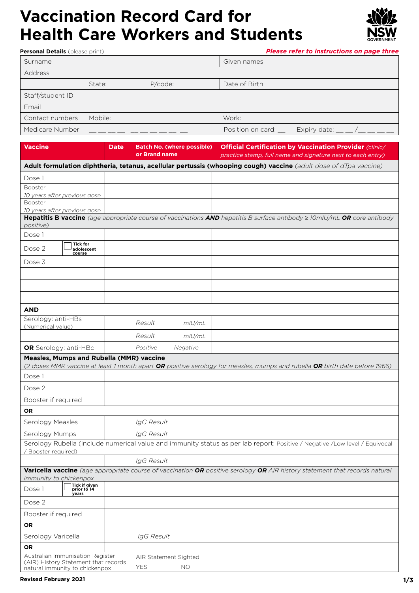### **Vaccination Record Card for Health Care Workers and Students**

**Personal Details** (please print)



*Please refer to instructions on page three*

| Surname          |         |         | Given names          |              |
|------------------|---------|---------|----------------------|--------------|
| Address          |         |         |                      |              |
|                  | State:  | P/code: | Date of Birth        |              |
| Staff/student ID |         |         |                      |              |
| Email            |         |         |                      |              |
| Contact numbers  | Mobile: |         | Work:                |              |
| Medicare Number  |         |         | Position on card: __ | Expiry date: |

| Vaccine                                                                                                    | <b>Date</b>                                                                                                      | Batch No. (where possible)  <br>or Brand name | <b>Official Certification by Vaccination Provider (clinic/</b><br>practice stamp, full name and signature next to each entry)  |  |  |
|------------------------------------------------------------------------------------------------------------|------------------------------------------------------------------------------------------------------------------|-----------------------------------------------|--------------------------------------------------------------------------------------------------------------------------------|--|--|
|                                                                                                            | Adult formulation diphtheria, tetanus, acellular pertussis (whooping cough) vaccine (adult dose of dTpa vaccine) |                                               |                                                                                                                                |  |  |
| Dose 1                                                                                                     |                                                                                                                  |                                               |                                                                                                                                |  |  |
| Booster                                                                                                    |                                                                                                                  |                                               |                                                                                                                                |  |  |
| 10 years after previous dose                                                                               |                                                                                                                  |                                               |                                                                                                                                |  |  |
| Booster<br>10 years after previous dose                                                                    |                                                                                                                  |                                               |                                                                                                                                |  |  |
| positive)                                                                                                  |                                                                                                                  |                                               | Hepatitis B vaccine (age appropriate course of vaccinations AND hepatitis B surface antibody $\geq 10$ mIU/mL OR core antibody |  |  |
| Dose 1                                                                                                     |                                                                                                                  |                                               |                                                                                                                                |  |  |
| <b>Tick for</b><br>Dose 2<br>adolescent<br>course                                                          |                                                                                                                  |                                               |                                                                                                                                |  |  |
| Dose 3                                                                                                     |                                                                                                                  |                                               |                                                                                                                                |  |  |
|                                                                                                            |                                                                                                                  |                                               |                                                                                                                                |  |  |
|                                                                                                            |                                                                                                                  |                                               |                                                                                                                                |  |  |
|                                                                                                            |                                                                                                                  |                                               |                                                                                                                                |  |  |
|                                                                                                            |                                                                                                                  |                                               |                                                                                                                                |  |  |
| <b>AND</b>                                                                                                 |                                                                                                                  |                                               |                                                                                                                                |  |  |
| Serology: anti-HBs<br>(Numerical value)                                                                    |                                                                                                                  | Result<br>$m$ IU/mL                           |                                                                                                                                |  |  |
|                                                                                                            |                                                                                                                  | Result<br>$m$ IU/mL                           |                                                                                                                                |  |  |
| OR Serology: anti-HBc                                                                                      |                                                                                                                  | Positive<br>Negative                          |                                                                                                                                |  |  |
| <b>Measles, Mumps and Rubella (MMR) vaccine</b>                                                            |                                                                                                                  |                                               | (2 doses MMR vaccine at least 1 month apart OR positive serology for measles, mumps and rubella OR birth date before 1966)     |  |  |
| Dose 1                                                                                                     |                                                                                                                  |                                               |                                                                                                                                |  |  |
| Dose 2                                                                                                     |                                                                                                                  |                                               |                                                                                                                                |  |  |
| Booster if required                                                                                        |                                                                                                                  |                                               |                                                                                                                                |  |  |
| OR                                                                                                         |                                                                                                                  |                                               |                                                                                                                                |  |  |
| Serology Measles                                                                                           |                                                                                                                  | IgG Result                                    |                                                                                                                                |  |  |
| Serology Mumps                                                                                             |                                                                                                                  | IgG Result                                    |                                                                                                                                |  |  |
| Booster required)                                                                                          |                                                                                                                  |                                               | Serology Rubella (include numerical value and immunity status as per lab report: Positive / Negative /Low level / Equivocal    |  |  |
|                                                                                                            |                                                                                                                  | IgG Result                                    |                                                                                                                                |  |  |
|                                                                                                            |                                                                                                                  |                                               | Varicella vaccine (age appropriate course of vaccination OR positive serology OR AIR history statement that records natural    |  |  |
| immunity to chickenpox<br>Tick if given                                                                    |                                                                                                                  |                                               |                                                                                                                                |  |  |
| Dose 1<br>prior to 14<br>years                                                                             |                                                                                                                  |                                               |                                                                                                                                |  |  |
| Dose 2                                                                                                     |                                                                                                                  |                                               |                                                                                                                                |  |  |
| Booster if required                                                                                        |                                                                                                                  |                                               |                                                                                                                                |  |  |
| <b>OR</b>                                                                                                  |                                                                                                                  |                                               |                                                                                                                                |  |  |
| Serology Varicella                                                                                         |                                                                                                                  | IgG Result                                    |                                                                                                                                |  |  |
| OR                                                                                                         |                                                                                                                  |                                               |                                                                                                                                |  |  |
| Australian Immunisation Register<br>(AIR) History Statement that records<br>natural immunity to chickenpox |                                                                                                                  | AIR Statement Sighted<br><b>YES</b><br>ΝO     |                                                                                                                                |  |  |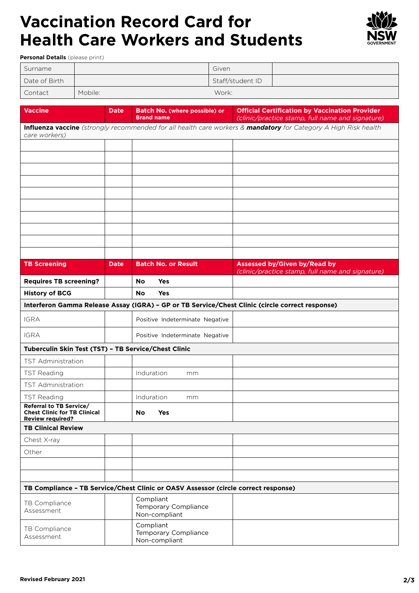# **Vaccination Record Card for Health Care Workers and Students**



**Personal Details** (please print)

| Surname       |         | Given            |  |
|---------------|---------|------------------|--|
| Date of Birth |         | Staff/student ID |  |
| Contact       | Mobile: | Work:            |  |

| <b>Vaccine</b>                                                                            | <b>Date</b> | Batch No. (where possible) or                                                      | <b>Official Certification by Vaccination Provider</b>                                                           |
|-------------------------------------------------------------------------------------------|-------------|------------------------------------------------------------------------------------|-----------------------------------------------------------------------------------------------------------------|
|                                                                                           |             | <b>Brand name</b>                                                                  | (clinic/practice stamp, full name and signature)                                                                |
| care workers)                                                                             |             |                                                                                    | Influenza vaccine (strongly recommended for all health care workers & mandatory for Category A High Risk health |
|                                                                                           |             |                                                                                    |                                                                                                                 |
|                                                                                           |             |                                                                                    |                                                                                                                 |
|                                                                                           |             |                                                                                    |                                                                                                                 |
|                                                                                           |             |                                                                                    |                                                                                                                 |
|                                                                                           |             |                                                                                    |                                                                                                                 |
|                                                                                           |             |                                                                                    |                                                                                                                 |
|                                                                                           |             |                                                                                    |                                                                                                                 |
|                                                                                           |             |                                                                                    |                                                                                                                 |
|                                                                                           |             |                                                                                    |                                                                                                                 |
|                                                                                           |             |                                                                                    |                                                                                                                 |
| <b>TB Screening</b>                                                                       | <b>Date</b> | <b>Batch No. or Result</b>                                                         | <b>Assessed by/Given by/Read by</b><br>(clinic/practice stamp, full name and signature)                         |
| <b>Requires TB screening?</b>                                                             |             | <b>Yes</b><br>No                                                                   |                                                                                                                 |
| <b>History of BCG</b>                                                                     |             | No<br><b>Yes</b>                                                                   |                                                                                                                 |
|                                                                                           |             |                                                                                    | Interferon Gamma Release Assay (IGRA) - GP or TB Service/Chest Clinic (circle correct response)                 |
| <b>IGRA</b>                                                                               |             | Positive Indeterminate Negative                                                    |                                                                                                                 |
| <b>IGRA</b>                                                                               |             | Positive Indeterminate Negative                                                    |                                                                                                                 |
| Tuberculin Skin Test (TST) - TB Service/Chest Clinic                                      |             |                                                                                    |                                                                                                                 |
| <b>TST Administration</b>                                                                 |             |                                                                                    |                                                                                                                 |
| <b>TST Reading</b>                                                                        |             | Induration<br>mm                                                                   |                                                                                                                 |
| <b>TST Administration</b>                                                                 |             |                                                                                    |                                                                                                                 |
| <b>TST Reading</b>                                                                        |             | Induration<br>mm                                                                   |                                                                                                                 |
| Referral to TB Service/<br><b>Chest Clinic for TB Clinical</b><br><b>Review required?</b> |             | No.<br><b>Yes</b>                                                                  |                                                                                                                 |
| <b>TB Clinical Review</b>                                                                 |             |                                                                                    |                                                                                                                 |
| Chest X-ray                                                                               |             |                                                                                    |                                                                                                                 |
| Other                                                                                     |             |                                                                                    |                                                                                                                 |
|                                                                                           |             |                                                                                    |                                                                                                                 |
|                                                                                           |             |                                                                                    |                                                                                                                 |
|                                                                                           |             | TB Compliance - TB Service/Chest Clinic or OASV Assessor (circle correct response) |                                                                                                                 |
| TB Compliance<br>Assessment                                                               |             | Compliant<br>Temporary Compliance<br>Non-compliant                                 |                                                                                                                 |
| TB Compliance<br>Assessment                                                               |             | Compliant<br>Temporary Compliance<br>Non-compliant                                 |                                                                                                                 |